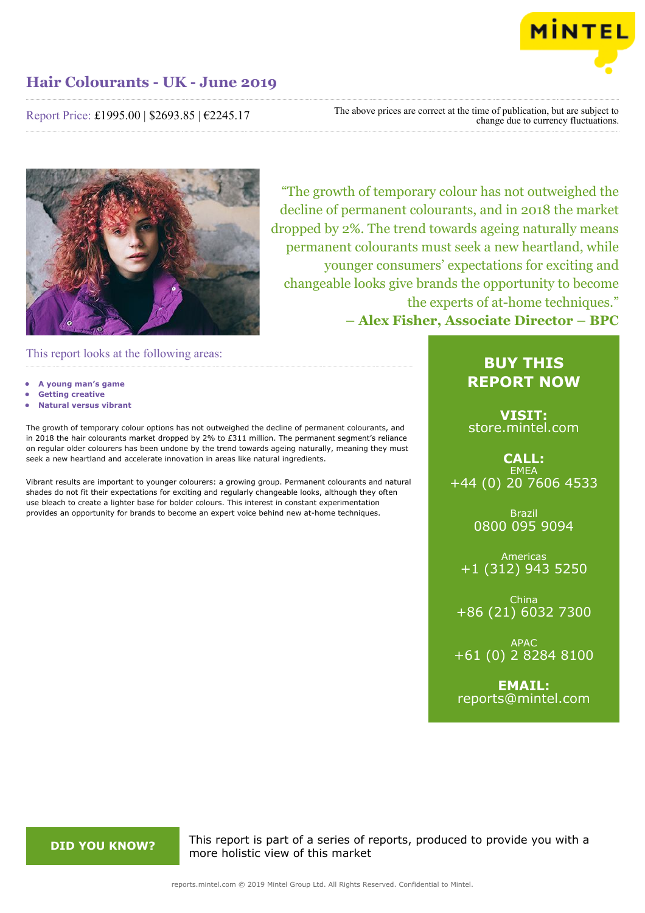

Report Price: £1995.00 | \$2693.85 | €2245.17

The above prices are correct at the time of publication, but are subject to change due to currency fluctuations.



"The growth of temporary colour has not outweighed the decline of permanent colourants, and in 2018 the market dropped by 2%. The trend towards ageing naturally means permanent colourants must seek a new heartland, while younger consumers' expectations for exciting and changeable looks give brands the opportunity to become the experts of at-home techniques." **– Alex Fisher, Associate Director – BPC**

This report looks at the following areas:

- **• A young man's game**
- **• Getting creative**
- **• Natural versus vibrant**

The growth of temporary colour options has not outweighed the decline of permanent colourants, and in 2018 the hair colourants market dropped by 2% to £311 million. The permanent segment's reliance on regular older colourers has been undone by the trend towards ageing naturally, meaning they must seek a new heartland and accelerate innovation in areas like natural ingredients.

Vibrant results are important to younger colourers: a growing group. Permanent colourants and natural shades do not fit their expectations for exciting and regularly changeable looks, although they often use bleach to create a lighter base for bolder colours. This interest in constant experimentation provides an opportunity for brands to become an expert voice behind new at-home techniques.

# **BUY THIS REPORT NOW**

**VISIT:** [store.mintel.com](http://reports.mintel.com//display/store/919656/)

# **CALL: EMEA** +44 (0) 20 7606 4533

Brazil 0800 095 9094

Americas +1 (312) 943 5250

China +86 (21) 6032 7300

APAC +61 (0) 2 8284 8100

**EMAIL:** [reports@mintel.com](mailto:reports@mintel.com)

**DID YOU KNOW?** This report is part of a series of reports, produced to provide you with a more holistic view of this market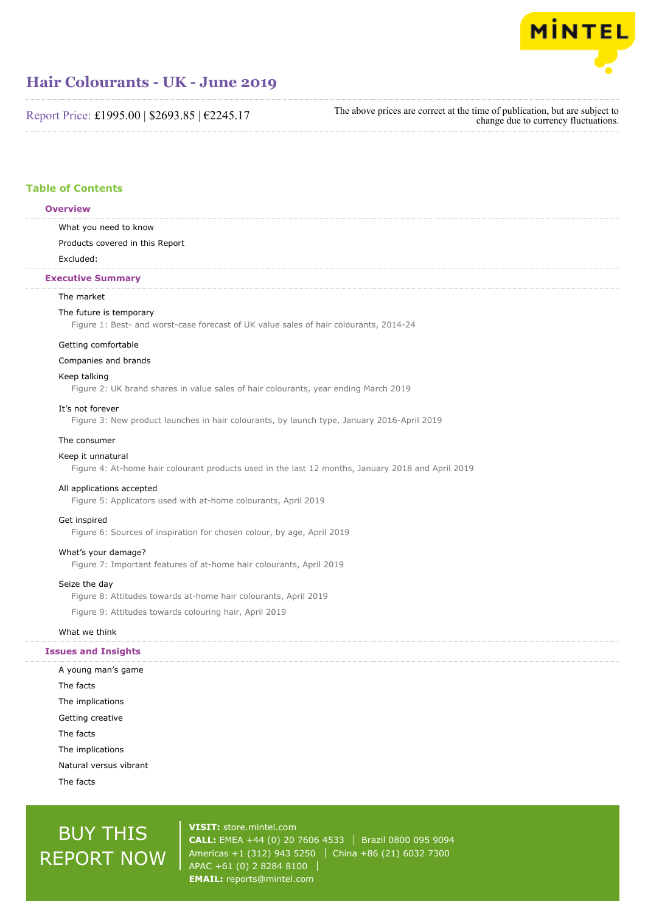

Report Price: £1995.00 | \$2693.85 | €2245.17

The above prices are correct at the time of publication, but are subject to change due to currency fluctuations.

# **Table of Contents**

#### **Overview**

What you need to know

Products covered in this Report

Excluded:

## **Executive Summary**

#### The market

#### The future is temporary

Figure 1: Best- and worst-case forecast of UK value sales of hair colourants, 2014-24

#### Getting comfortable

#### Companies and brands

## Keep talking

Figure 2: UK brand shares in value sales of hair colourants, year ending March 2019

#### It's not forever

Figure 3: New product launches in hair colourants, by launch type, January 2016-April 2019

#### The consumer

# Keep it unnatural

Figure 4: At-home hair colourant products used in the last 12 months, January 2018 and April 2019

#### All applications accepted

Figure 5: Applicators used with at-home colourants, April 2019

#### Get inspired

Figure 6: Sources of inspiration for chosen colour, by age, April 2019

#### What's your damage?

Figure 7: Important features of at-home hair colourants, April 2019

### Seize the day

Figure 8: Attitudes towards at-home hair colourants, April 2019

Figure 9: Attitudes towards colouring hair, April 2019

#### What we think

## **Issues and Insights**

A young man's game The facts The implications Getting creative The facts The implications Natural versus vibrant The facts

# BUY THIS REPORT NOW

**VISIT:** [store.mintel.com](http://reports.mintel.com//display/store/919656/) **CALL:** EMEA +44 (0) 20 7606 4533 | Brazil 0800 095 9094 Americas +1 (312) 943 5250 | China +86 (21) 6032 7300 APAC +61 (0) 2 8284 8100 **EMAIL:** [reports@mintel.com](mailto:reports@mintel.com)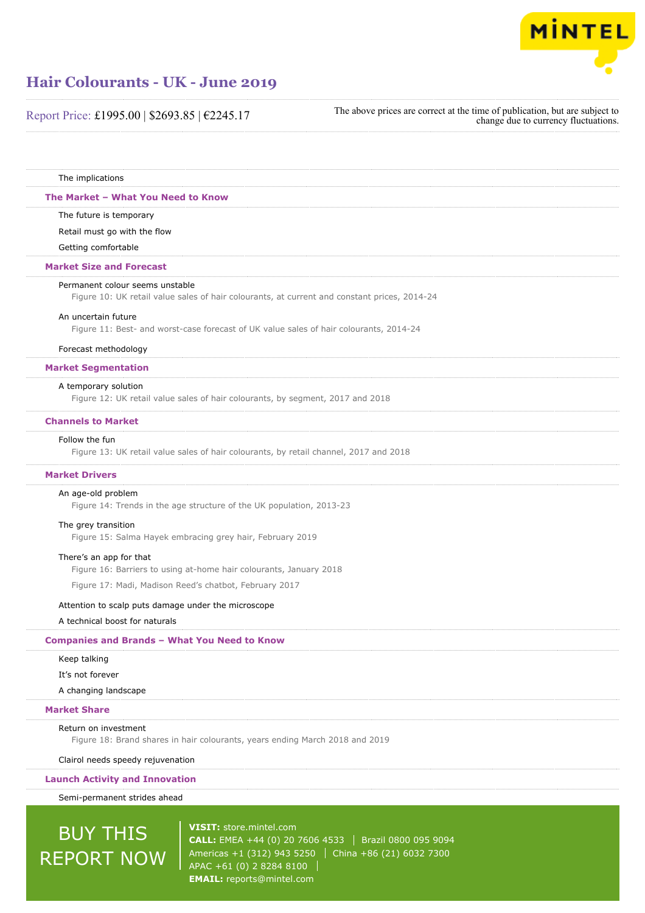

The above prices are correct at the time of publication, but are subject to change due to currency fluctuations.

The implications

#### **The Market – What You Need to Know**

The future is temporary

Retail must go with the flow

Getting comfortable

#### **Market Size and Forecast**

#### Permanent colour seems unstable

Figure 10: UK retail value sales of hair colourants, at current and constant prices, 2014-24

#### An uncertain future

Figure 11: Best- and worst-case forecast of UK value sales of hair colourants, 2014-24

#### Forecast methodology

#### **Market Segmentation**

#### A temporary solution

Figure 12: UK retail value sales of hair colourants, by segment, 2017 and 2018

## **Channels to Market**

#### Follow the fun

Figure 13: UK retail value sales of hair colourants, by retail channel, 2017 and 2018

#### **Market Drivers**

#### An age-old problem

Figure 14: Trends in the age structure of the UK population, 2013-23

#### The grey transition

Figure 15: Salma Hayek embracing grey hair, February 2019

#### There's an app for that

Figure 16: Barriers to using at-home hair colourants, January 2018

Figure 17: Madi, Madison Reed's chatbot, February 2017

#### Attention to scalp puts damage under the microscope

A technical boost for naturals

### **Companies and Brands – What You Need to Know**

## Keep talking

It's not forever

A changing landscape

## **Market Share**

#### Return on investment

Figure 18: Brand shares in hair colourants, years ending March 2018 and 2019

Clairol needs speedy rejuvenation

## **Launch Activity and Innovation**

Semi-permanent strides ahead

# BUY THIS REPORT NOW

**VISIT:** [store.mintel.com](http://reports.mintel.com//display/store/919656/) **CALL:** EMEA +44 (0) 20 7606 4533 | Brazil 0800 095 9094 Americas +1 (312) 943 5250 | China +86 (21) 6032 7300 APAC +61 (0) 2 8284 8100 **EMAIL:** [reports@mintel.com](mailto:reports@mintel.com)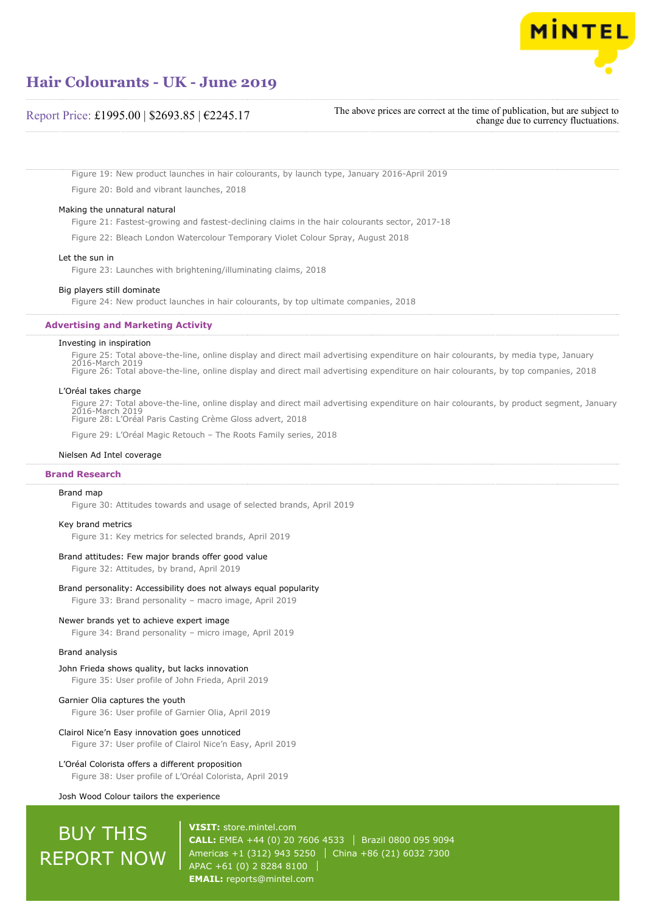

## Report Price: £1995.00 | \$2693.85 | €2245.17

The above prices are correct at the time of publication, but are subject to change due to currency fluctuations.

Figure 19: New product launches in hair colourants, by launch type, January 2016-April 2019 Figure 20: Bold and vibrant launches, 2018

#### Making the unnatural natural

Figure 21: Fastest-growing and fastest-declining claims in the hair colourants sector, 2017-18

Figure 22: Bleach London Watercolour Temporary Violet Colour Spray, August 2018

#### Let the sun in

Figure 23: Launches with brightening/illuminating claims, 2018

#### Big players still dominate

Figure 24: New product launches in hair colourants, by top ultimate companies, 2018

#### **Advertising and Marketing Activity**

#### Investing in inspiration

Figure 25: Total above-the-line, online display and direct mail advertising expenditure on hair colourants, by media type, January 2016-March 2019 Figure 26: Total above-the-line, online display and direct mail advertising expenditure on hair colourants, by top companies, 2018

#### L'Oréal takes charge

Figure 27: Total above-the-line, online display and direct mail advertising expenditure on hair colourants, by product segment, January 2016-March 2019 Figure 28: L'Oréal Paris Casting Crème Gloss advert, 2018

Figure 29: L'Oréal Magic Retouch – The Roots Family series, 2018

#### Nielsen Ad Intel coverage

#### **Brand Research**

#### Brand map

Figure 30: Attitudes towards and usage of selected brands, April 2019

#### Key brand metrics

Figure 31: Key metrics for selected brands, April 2019

#### Brand attitudes: Few major brands offer good value

Figure 32: Attitudes, by brand, April 2019

#### Brand personality: Accessibility does not always equal popularity

Figure 33: Brand personality – macro image, April 2019

#### Newer brands yet to achieve expert image

Figure 34: Brand personality – micro image, April 2019

#### Brand analysis

#### John Frieda shows quality, but lacks innovation

Figure 35: User profile of John Frieda, April 2019

### Garnier Olia captures the youth

Figure 36: User profile of Garnier Olia, April 2019

#### Clairol Nice'n Easy innovation goes unnoticed

Figure 37: User profile of Clairol Nice'n Easy, April 2019

# L'Oréal Colorista offers a different proposition

Figure 38: User profile of L'Oréal Colorista, April 2019

#### Josh Wood Colour tailors the experience

# BUY THIS REPORT NOW

**VISIT:** [store.mintel.com](http://reports.mintel.com//display/store/919656/) **CALL:** EMEA +44 (0) 20 7606 4533 Brazil 0800 095 9094 Americas +1 (312) 943 5250 | China +86 (21) 6032 7300 APAC +61 (0) 2 8284 8100 **EMAIL:** [reports@mintel.com](mailto:reports@mintel.com)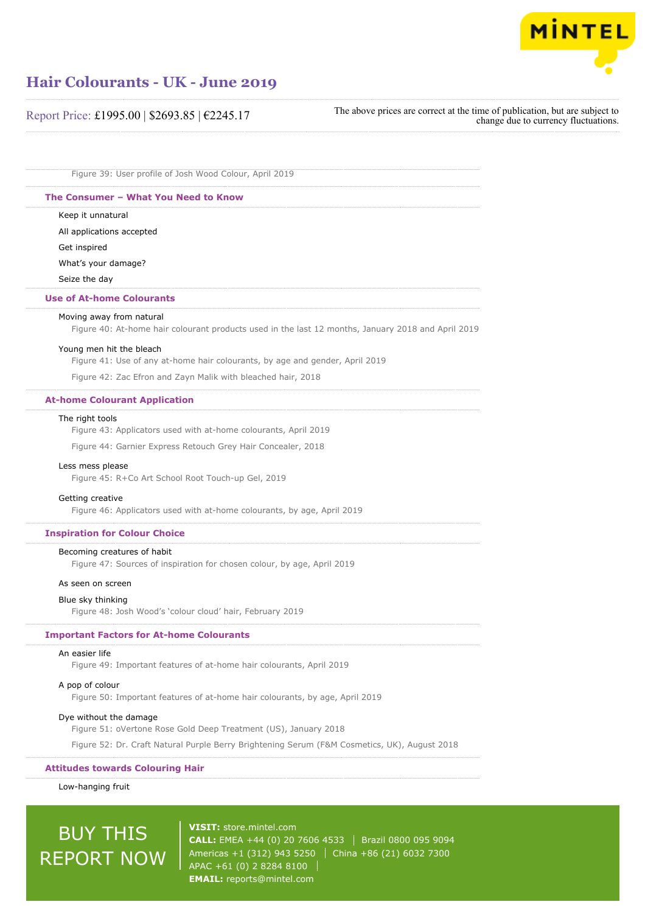

# Report Price: £1995.00 | \$2693.85 | €2245.17

The above prices are correct at the time of publication, but are subject to change due to currency fluctuations.

Figure 39: User profile of Josh Wood Colour, April 2019

#### **The Consumer – What You Need to Know**

Keep it unnatural

All applications accepted Get inspired What's your damage?

Seize the day

#### **Use of At-home Colourants**

#### Moving away from natural

Figure 40: At-home hair colourant products used in the last 12 months, January 2018 and April 2019

#### Young men hit the bleach

Figure 41: Use of any at-home hair colourants, by age and gender, April 2019

Figure 42: Zac Efron and Zayn Malik with bleached hair, 2018

#### **At-home Colourant Application**

#### The right tools

Figure 43: Applicators used with at-home colourants, April 2019

Figure 44: Garnier Express Retouch Grey Hair Concealer, 2018

#### Less mess please

Figure 45: R+Co Art School Root Touch-up Gel, 2019

#### Getting creative

Figure 46: Applicators used with at-home colourants, by age, April 2019

#### **Inspiration for Colour Choice**

#### Becoming creatures of habit

Figure 47: Sources of inspiration for chosen colour, by age, April 2019

#### As seen on screen

#### Blue sky thinking

Figure 48: Josh Wood's 'colour cloud' hair, February 2019

#### **Important Factors for At-home Colourants**

#### An easier life

Figure 49: Important features of at-home hair colourants, April 2019

#### A pop of colour

Figure 50: Important features of at-home hair colourants, by age, April 2019

### Dye without the damage

Figure 51: oVertone Rose Gold Deep Treatment (US), January 2018

Figure 52: Dr. Craft Natural Purple Berry Brightening Serum (F&M Cosmetics, UK), August 2018

### **Attitudes towards Colouring Hair**

#### Low-hanging fruit

# BUY THIS REPORT NOW

**VISIT:** [store.mintel.com](http://reports.mintel.com//display/store/919656/) **CALL:** EMEA +44 (0) 20 7606 4533 | Brazil 0800 095 9094 Americas +1 (312) 943 5250 | China +86 (21) 6032 7300 APAC +61 (0) 2 8284 8100 **EMAIL:** [reports@mintel.com](mailto:reports@mintel.com)